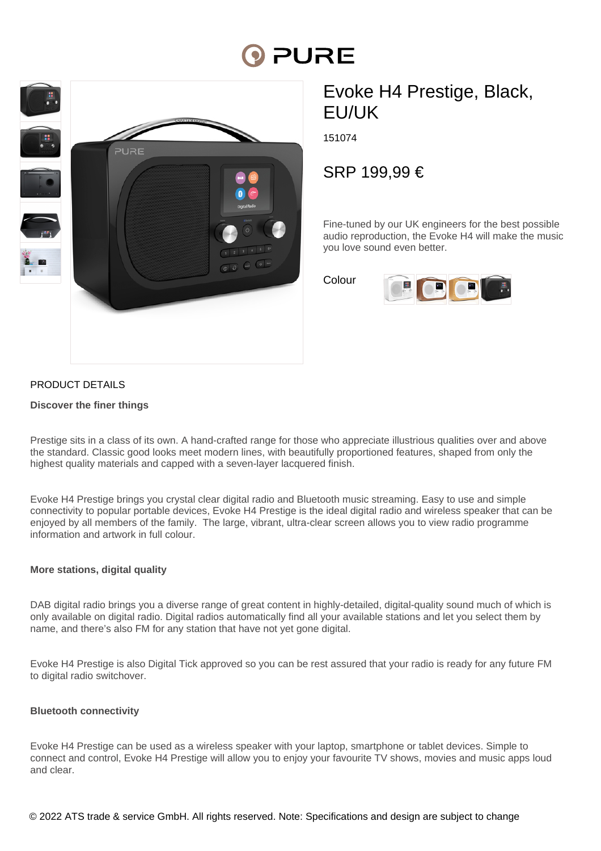# **PURE**



# Evoke H4 Prestige, Black, EU/UK

151074

SRP 199,99 €

Fine-tuned by our UK engineers for the best possible audio reproduction, the Evoke H4 will make the music you love sound even better.

Colour



## PRODUCT DETAILS

#### **Discover the finer things**

Prestige sits in a class of its own. A hand-crafted range for those who appreciate illustrious qualities over and above the standard. Classic good looks meet modern lines, with beautifully proportioned features, shaped from only the highest quality materials and capped with a seven-layer lacquered finish.

Evoke H4 Prestige brings you crystal clear digital radio and Bluetooth music streaming. Easy to use and simple connectivity to popular portable devices, Evoke H4 Prestige is the ideal digital radio and wireless speaker that can be enjoyed by all members of the family. The large, vibrant, ultra-clear screen allows you to view radio programme information and artwork in full colour.

### **More stations, digital quality**

DAB digital radio brings you a diverse range of great content in highly-detailed, digital-quality sound much of which is only available on digital radio. Digital radios automatically find all your available stations and let you select them by name, and there's also FM for any station that have not yet gone digital.

Evoke H4 Prestige is also Digital Tick approved so you can be rest assured that your radio is ready for any future FM to digital radio switchover.

#### **Bluetooth connectivity**

Evoke H4 Prestige can be used as a wireless speaker with your laptop, smartphone or tablet devices. Simple to connect and control, Evoke H4 Prestige will allow you to enjoy your favourite TV shows, movies and music apps loud and clear.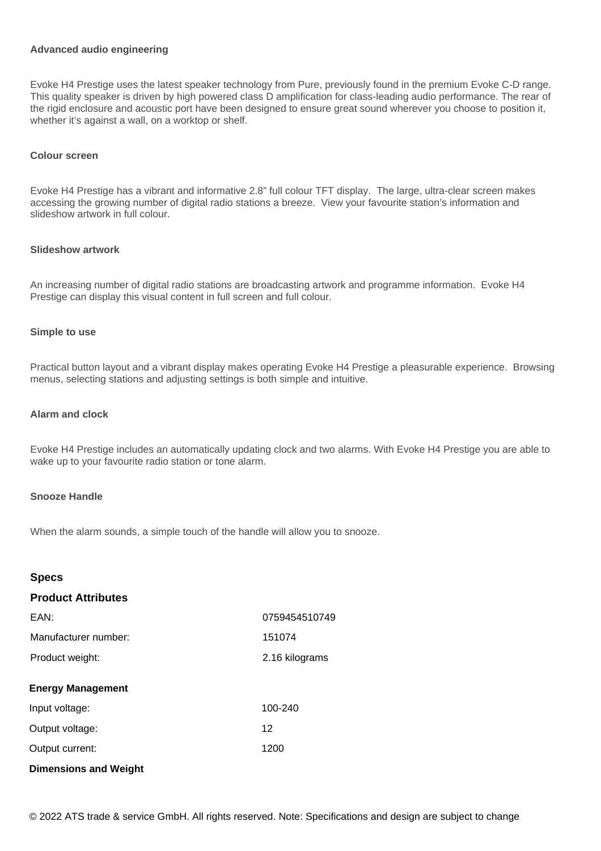#### **Advanced audio engineering**

Evoke H4 Prestige uses the latest speaker technology from Pure, previously found in the premium Evoke C-D range. This quality speaker is driven by high powered class D amplification for class-leading audio performance. The rear of the rigid enclosure and acoustic port have been designed to ensure great sound wherever you choose to position it, whether it's against a wall, on a worktop or shelf.

#### **Colour screen**

Evoke H4 Prestige has a vibrant and informative 2.8" full colour TFT display. The large, ultra-clear screen makes accessing the growing number of digital radio stations a breeze. View your favourite station's information and slideshow artwork in full colour.

#### **Slideshow artwork**

An increasing number of digital radio stations are broadcasting artwork and programme information. Evoke H4 Prestige can display this visual content in full screen and full colour.

#### **Simple to use**

Practical button layout and a vibrant display makes operating Evoke H4 Prestige a pleasurable experience. Browsing menus, selecting stations and adjusting settings is both simple and intuitive.

#### **Alarm and clock**

Evoke H4 Prestige includes an automatically updating clock and two alarms. With Evoke H4 Prestige you are able to wake up to your favourite radio station or tone alarm.

#### **Snooze Handle**

When the alarm sounds, a simple touch of the handle will allow you to snooze.

| <b>Specs</b>                 |                |
|------------------------------|----------------|
| <b>Product Attributes</b>    |                |
| EAN:                         | 0759454510749  |
| Manufacturer number:         | 151074         |
| Product weight:              | 2.16 kilograms |
| <b>Energy Management</b>     |                |
| Input voltage:               | 100-240        |
| Output voltage:              | 12             |
| Output current:              | 1200           |
| <b>Dimensions and Weight</b> |                |